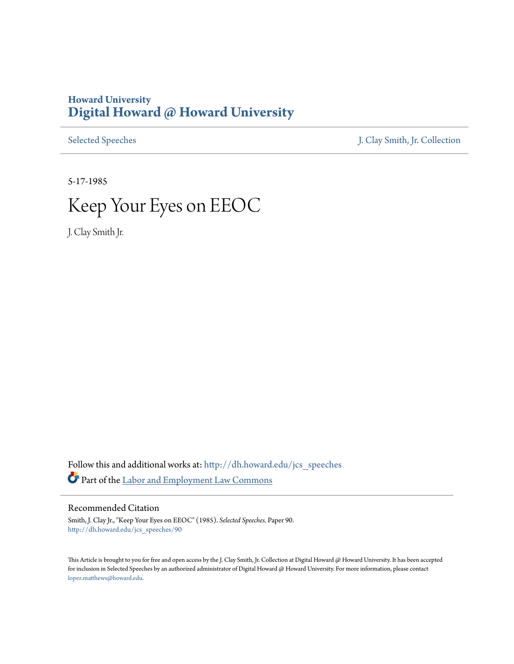## **Howard University [Digital Howard @ Howard University](http://dh.howard.edu?utm_source=dh.howard.edu%2Fjcs_speeches%2F90&utm_medium=PDF&utm_campaign=PDFCoverPages)**

[Selected Speeches](http://dh.howard.edu/jcs_speeches?utm_source=dh.howard.edu%2Fjcs_speeches%2F90&utm_medium=PDF&utm_campaign=PDFCoverPages) [J. Clay Smith, Jr. Collection](http://dh.howard.edu/jcsmith?utm_source=dh.howard.edu%2Fjcs_speeches%2F90&utm_medium=PDF&utm_campaign=PDFCoverPages)

5-17-1985

## Keep Your Eyes on EEOC

J. Clay Smith Jr.

Follow this and additional works at: [http://dh.howard.edu/jcs\\_speeches](http://dh.howard.edu/jcs_speeches?utm_source=dh.howard.edu%2Fjcs_speeches%2F90&utm_medium=PDF&utm_campaign=PDFCoverPages) Part of the [Labor and Employment Law Commons](http://network.bepress.com/hgg/discipline/909?utm_source=dh.howard.edu%2Fjcs_speeches%2F90&utm_medium=PDF&utm_campaign=PDFCoverPages)

## Recommended Citation

Smith, J. Clay Jr., "Keep Your Eyes on EEOC" (1985). *Selected Speeches.* Paper 90. [http://dh.howard.edu/jcs\\_speeches/90](http://dh.howard.edu/jcs_speeches/90?utm_source=dh.howard.edu%2Fjcs_speeches%2F90&utm_medium=PDF&utm_campaign=PDFCoverPages)

This Article is brought to you for free and open access by the J. Clay Smith, Jr. Collection at Digital Howard @ Howard University. It has been accepted for inclusion in Selected Speeches by an authorized administrator of Digital Howard @ Howard University. For more information, please contact [lopez.matthews@howard.edu.](mailto:lopez.matthews@howard.edu)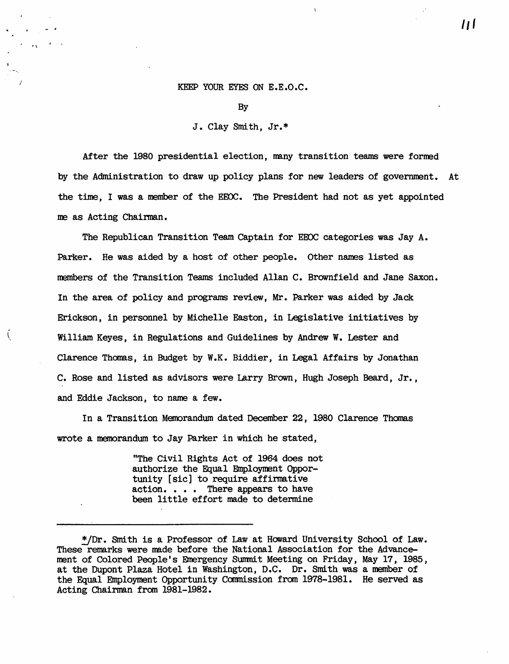## KEEP YOUR EYES ON E.E.O.C.

By

J. Clav Smith, Jr.\*

After the 1980 presidential election, many transition teams were formed by the Administration to draw up policy plans for new leaders of government. At the time, I was a member of the EEOC. The President had not as yet appointed me as Acting Chairman.

The Republican Transition Team Captain for EEOC categories was Jay A. Parker. He was aided by a host of other people. Other names listed as members of the Transition Teams included Allan C. Brownfield and Jane Saxon. In the area of policy and programs review, Mr. Parker was aided by Jack Erickson, in personnel by Michelle Easton, in Legislative initiatives by William Keyes, in Regulations and Guidelines by Andrew W. Lester and Clarence Thomas, in Budget by W.K. Biddier, in Legal Affairs by Jonathan C. Rose and listed as advisors were Larry Brown, Hugh Joseph Beard, Jr., and Eddie Jackson, to name a few.

ţ

In a Transition Memorandum dated December 22, 1980 Clarence Thomas wrote a memorandum to Jay Parker in which he stated,

> "The Civil Rights Act of 1964 does not authorize the Equal Employment Opportunity [sic] to require affirmative action. . . . There appears to have been little effort made to determine

**1/1** 

<sup>\*/</sup>Dr. Smith is a Professor of Law at Howard University School of Law. These remarks were made before the National Association for the Advancement of Colored People's Emergency Summit Meeting on Friday, May 17, 1985, at the Dupont Plaza Hotel in Washington, D.C. Dr. Smith was a member of the Equal Employment Opportunity Commission from 1978-1981. He served as Acting Chairman from 1981-1982.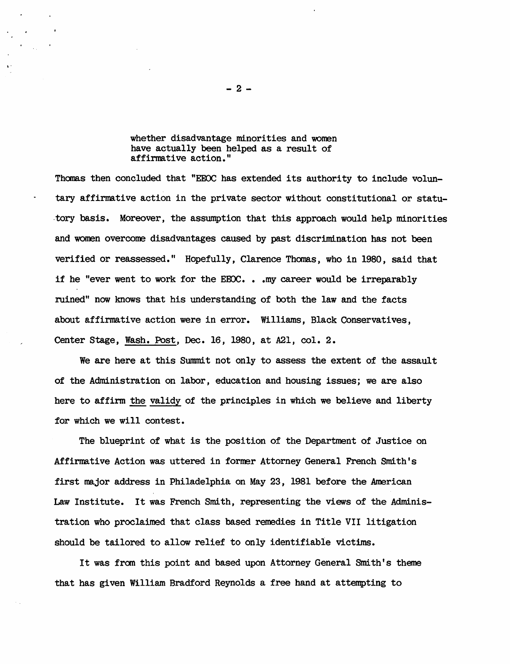whether disadvantage minorities and women have actually been helped as a result of affirmative action."

Thomas then concluded that "EEOC has extended its authority to include voluntary affirmative action in the private sector without constitutional or statu- . tory basis. Moreover, the assumption that this approach would help minorities and women overcome disadvantages caused by past discrimination has not been verified or reassessed." Hopefully, Clarence Thomas, who in 1980, said that if he "ever went to work for the EEOC. . . my career would be irreparably ruined" now knows that his understanding of both the law and the facts about affirmative action were in error. Williams, Black Conservatives, Center Stage, Wash. Post, Dec. 16, 1980 , at A2l, col. 2.

We are here at this Summit not only to assess the extent of the assault of the Administration on labor, education and housing issues; we are also here to affirm the validy of the principles in which we believe and liberty for which we will contest.

The blueprint of what is the position of the Department of Justice on Affirmative Action was uttered in former Attorney General French Smith's first major address in Philadelphia on May 23, 1981 before the American Law Institute. It was French Smith, representing the views of the Administration who proclaimed that class based remedies in Title VII litigation should be tailored to allow relief to only identifiable victims.

It was from this point and based upon Attorney General Smith's theme that has given William Bradford Reynolds a free hand at attempting to

 $-2 -$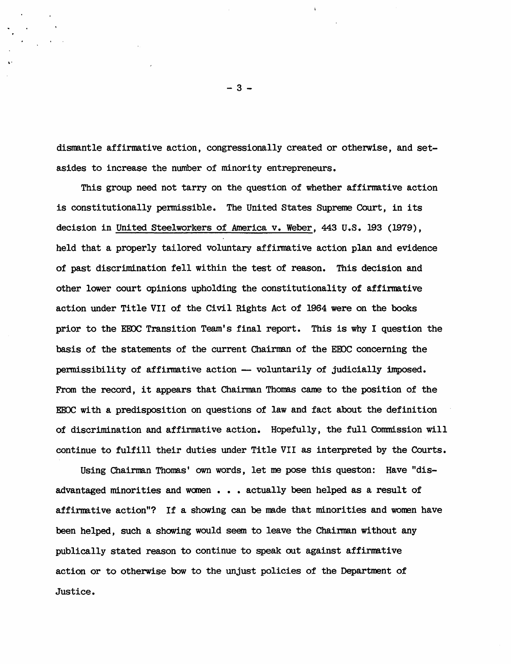dismantle affirmative action, congressionally created or otherwise, and setasides to increase the number of minority entrepreneurs.

This group need not tarry on the question of whether affirmative action is constitutionally permissible. The United States Supreme Court, in its decision in United Steelworkers of America v. Weber, 443 U.S. 193 (1979), held that a properly tailored voluntary affirmative action plan and evidence of past discrimination fell within the test of reason. This decision and other lower court opinions upholding the constitutionality of affirmative action under Title VII of the Civil Rights Act of 1964 were on the books prior to the EEDC Transition Team's final report. This is why I question the basis of the statements of the current Chairman of the EEOC concerning the permissibility of affirmative action -- voluntarily of judicially imposed. From the record, it appears that Chairman Thomas came to the position of the EEOC with a predisposition on questions of law and fact about the definition of discrimination and affirmative action. Hopefully, the full Commission will continue to fulfill their duties under Title VII as interpreted by the Courts.

Using Chairman Thomas' own words, let me pose this queston: Have "disadvantaged minorities and women . . . actually been helped as a result of affirnative action"? If a showing can be nade that minorities and wonen have been helped, such a showing would seem to leave the Chairman without any publically stated reason to continue to speak out against affirmative action or to otherwise bow to the unjust policies of the Department of Justice.

 $-3 -$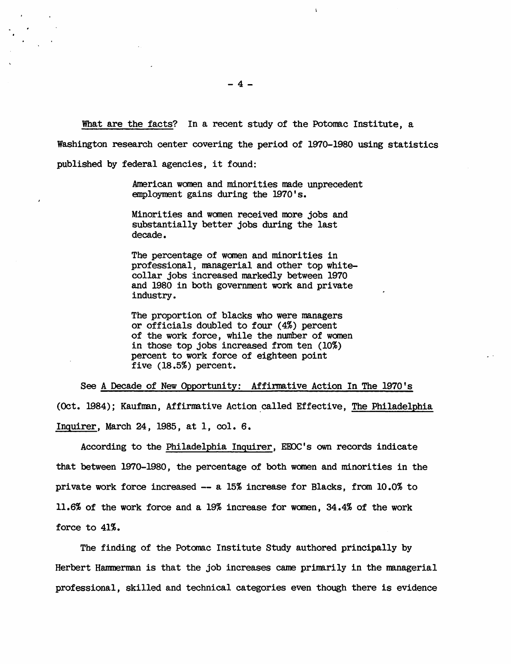What are the facts? In a recent study of the Potomac Institute, a

Washington research center covering the period of 1970-1980 using statistics

published by federal agencies, it found:

American women and minorities made unprecedent employment gains during the 1970's.

Minorities and women received more jobs and substantially better jobs during the last decade.

The percentage of women and minorities in professional, managerial and other top whitecollar jobs increased markedly between 1970 and 1980 in both government work and private industry.

The proportion of blacks who were managers or officials doubled to four (4%) percent of the work force, while the number of women in those top jobs increased from ten (10%) percent to work force of eighteen point five (18.5%) percent.

See A Decade of New Opportunity: Affirmative Action In The 1970's (Oct. 1984); Kaufman, Affirmative Action called Effective, The Philadelphia Inquirer, March 24, 1985, at 1, col. 6.

According to the Philadelphia Inguirer, EEOC's own records indicate that between 1970-1980, the percentage of both women and minorities in the private work force increased  $-$  a 15% increase for Blacks, from  $10.0\%$  to 11.6% of the work force and a 19% increase for women, 34.4% of the work force to 41%.

The finding of the Potomac Institute Study authored principally by Herbert Hammerman is that the job increases came primarily in the managerial professional, skilled and technical categories even though there is evidence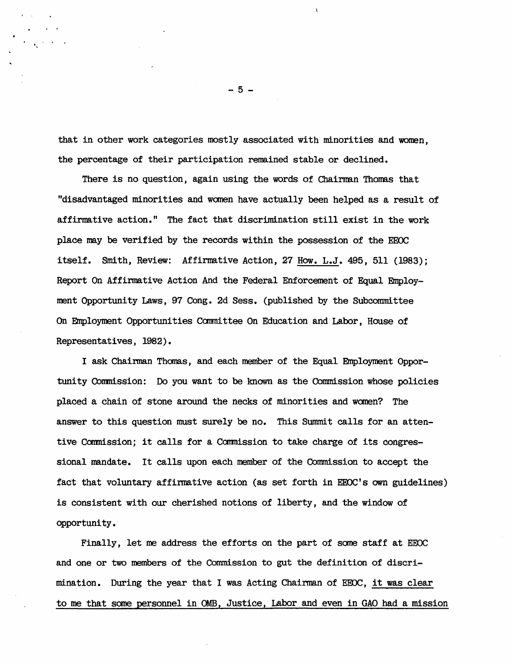that in other work categories mostly associated with minorities and women, the percentage of their participation remained stable or declined.

There is no question, again using the words of Chairman Thomas that "disadvantaged minorities and wanen have actually been helped as a result of affirmative action." The fact that discrimination still exist in the work place may be verified by the records within the possession of the EEOC itself. Smith, Review: Affirmative Action, 27 How. L.J. 495, 511 (1983); Report On Affirmative Action And the Federal Enforcement of Equal Employment Opportunity Laws, 97 Cong. 2d Sess. (published by the Subconnnittee On Employment Opportunities Camnittee On Education and Labor, House of Representatives, 1982).

I ask Chairman Thomas, and each member of the Equal Employment Opportunity Commission: Do you want to be known as the Commission whose policies placed a chain of stone around the necks of minorities and women? The answer to this question must surely be no. This Summit calls for an attentive Commission; it calls for a Commission to take charge of its congressional mandate. It calls upon each member of the Connnission to accept the fact that voluntary affirmative action (as set forth in EEOC's own guidelines) is consistent with our cherished notions of liberty, and the window of opportunity.

Finally, let me address the efforts on the part of some staff at EEOC and one or two members of the Commission to gut the definition of discrimination. During the year that I was Acting Chairman of EEOC, it was clear to me that some personnel in OMB, Justice, Labor and even in GAO had a mission

 $-5 -$ 

"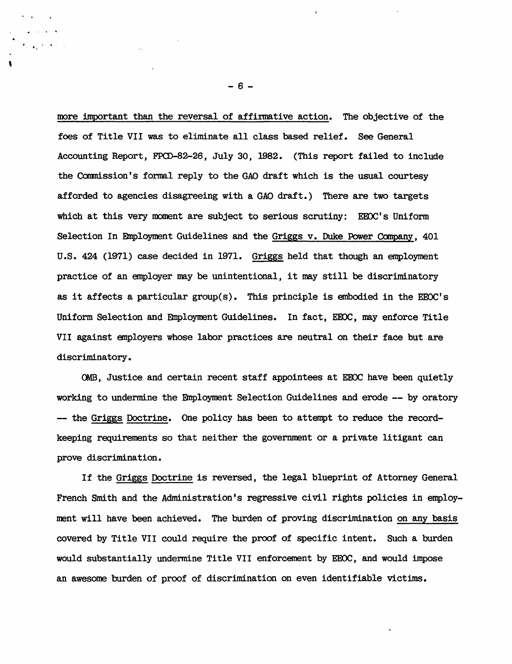more important than the reversal of affirmative action. The objective of the foes of Title VII was to eliminate all class based relief. See General Accounting Report, FPCD-82-26, July 30, 1982. (This report failed to include the Commission's formal reply to the GAO draft which is the usual courtesy afforded to agencies disagreeing with a GAO draft.) There are two targets which at this very moment are subject to serious scrutiny: EEOC's Uniform Selection In Employment Guidelines and the Griggs v. Duke Power Company, 401 U.S. 424 (1971) case decided in 1971. Griggs held that though an employment practice of an employer may be unintentional, it may still be discriminatory as it affects a particular group(s). This principle is embodied in the EEOC's Uniform Selection and Employment Guidelines. In fact, EEOC, may enforce Title VII against employers whose labor practices are neutral on their face but are discriminatory.

OMB, Justice and certain recent staff appointees at EEOC have been quietly working to undermine the Employment Selection Guidelines and erode -- by oratory -- the Griggs Doctrine. One policy has been to attempt to reduce the recordkeeping requirements so that neither the government or a private litigant can prove discrimination.

If the Griggs Doctrine is reversed, the legal blueprint of Attorney General French Smith and the Administration's regressive civil rights policies in employment will have been achieved. The burden of proving discrimination on any basis covered by Title VII could require the proof of specific intent. Such a burden would substantially undermine Title VII enforcement by EEOC, and would impose an awesome burden of proof of discrimination on even identifiable victims.

- 6 -

· .

"

\